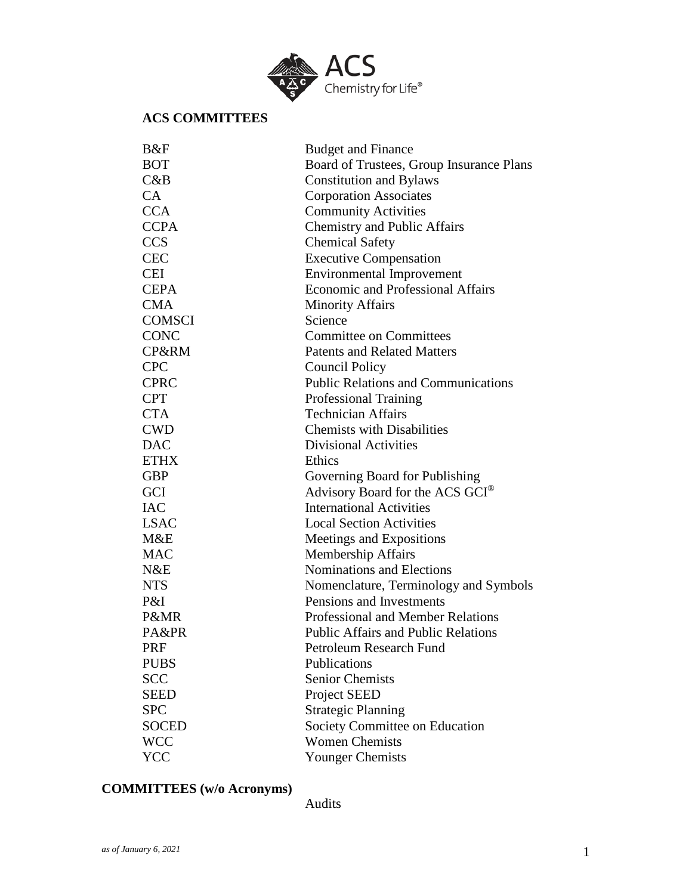

## **ACS COMMITTEES**

| B&F           | <b>Budget and Finance</b>                   |  |
|---------------|---------------------------------------------|--|
| <b>BOT</b>    | Board of Trustees, Group Insurance Plans    |  |
| C&B           | <b>Constitution and Bylaws</b>              |  |
| CA            | <b>Corporation Associates</b>               |  |
| <b>CCA</b>    | <b>Community Activities</b>                 |  |
| <b>CCPA</b>   | <b>Chemistry and Public Affairs</b>         |  |
| <b>CCS</b>    | <b>Chemical Safety</b>                      |  |
| <b>CEC</b>    | <b>Executive Compensation</b>               |  |
| CEI           | <b>Environmental Improvement</b>            |  |
| <b>CEPA</b>   | <b>Economic and Professional Affairs</b>    |  |
| <b>CMA</b>    | <b>Minority Affairs</b>                     |  |
| <b>COMSCI</b> | Science                                     |  |
| <b>CONC</b>   | <b>Committee on Committees</b>              |  |
| CP&RM         | <b>Patents and Related Matters</b>          |  |
| <b>CPC</b>    | Council Policy                              |  |
| <b>CPRC</b>   | <b>Public Relations and Communications</b>  |  |
| <b>CPT</b>    | <b>Professional Training</b>                |  |
| <b>CTA</b>    | <b>Technician Affairs</b>                   |  |
| <b>CWD</b>    | <b>Chemists with Disabilities</b>           |  |
| <b>DAC</b>    | <b>Divisional Activities</b>                |  |
| <b>ETHX</b>   | Ethics                                      |  |
| <b>GBP</b>    | Governing Board for Publishing              |  |
| GCI           | Advisory Board for the ACS GCI <sup>®</sup> |  |
| <b>IAC</b>    | <b>International Activities</b>             |  |
| <b>LSAC</b>   | <b>Local Section Activities</b>             |  |
| M&E           | Meetings and Expositions                    |  |
| <b>MAC</b>    | <b>Membership Affairs</b>                   |  |
| N&E           | Nominations and Elections                   |  |
| <b>NTS</b>    | Nomenclature, Terminology and Symbols       |  |
| P&I           | Pensions and Investments                    |  |
| P&MR          | <b>Professional and Member Relations</b>    |  |
| PA&PR         | <b>Public Affairs and Public Relations</b>  |  |
| <b>PRF</b>    | Petroleum Research Fund                     |  |
| <b>PUBS</b>   | Publications                                |  |
| <b>SCC</b>    | <b>Senior Chemists</b>                      |  |
| <b>SEED</b>   | Project SEED                                |  |
| <b>SPC</b>    | <b>Strategic Planning</b>                   |  |
| <b>SOCED</b>  | Society Committee on Education              |  |
| <b>WCC</b>    | <b>Women Chemists</b>                       |  |
| <b>YCC</b>    | <b>Younger Chemists</b>                     |  |

## **COMMITTEES (w/o Acronyms)**

Audits